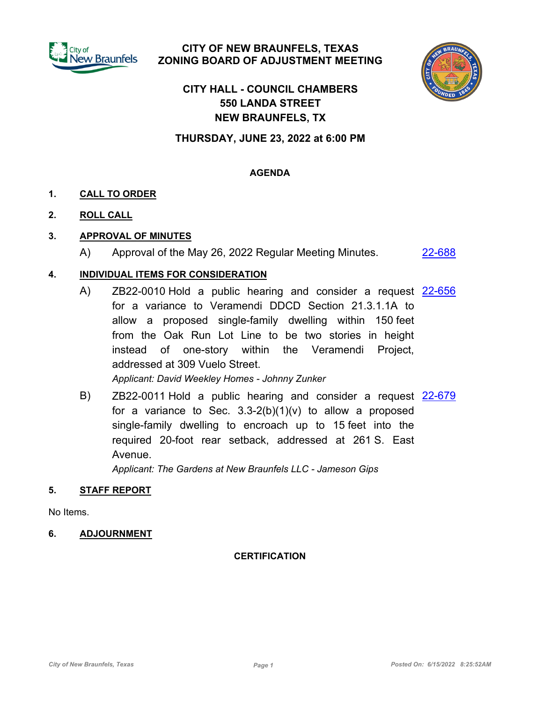

### **CITY OF NEW BRAUNFELS, TEXAS ZONING BOARD OF ADJUSTMENT MEETING**



# **CITY HALL - COUNCIL CHAMBERS 550 LANDA STREET NEW BRAUNFELS, TX**

## **THURSDAY, JUNE 23, 2022 at 6:00 PM**

### **AGENDA**

#### **1. CALL TO ORDER**

#### **2. ROLL CALL**

#### **3. APPROVAL OF MINUTES**

A) Approval of the May 26, 2022 Regular Meeting Minutes. [22-688](http://newbraunfels.legistar.com/gateway.aspx?m=l&id=/matter.aspx?key=10703)

#### **4. INDIVIDUAL ITEMS FOR CONSIDERATION**

A) ZB22-0010 Hold a public hearing and consider a request [22-656](http://newbraunfels.legistar.com/gateway.aspx?m=l&id=/matter.aspx?key=10671) for a variance to Veramendi DDCD Section 21.3.1.1A to allow a proposed single-family dwelling within 150 feet from the Oak Run Lot Line to be two stories in height instead of one-story within the Veramendi Project, addressed at 309 Vuelo Street.

*Applicant: David Weekley Homes - Johnny Zunker*

B) ZB22-0011 Hold a public hearing and consider a request [22-679](http://newbraunfels.legistar.com/gateway.aspx?m=l&id=/matter.aspx?key=10694) for a variance to Sec.  $3.3-2(b)(1)(v)$  to allow a proposed single-family dwelling to encroach up to 15 feet into the required 20-foot rear setback, addressed at 261 S. East Avenue.

*Applicant: The Gardens at New Braunfels LLC - Jameson Gips*

#### **5. STAFF REPORT**

No Items.

#### **6. ADJOURNMENT**

#### **CERTIFICATION**